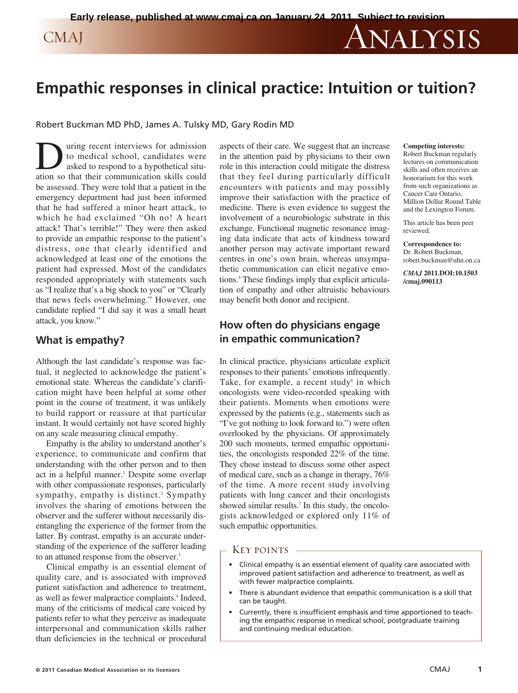# **Empathic responses in clinical practice: Intuition or tuition?**

Robert Buckman MD PhD, James A. Tulsky MD, Gary Rodin MD

**D** uring recent interviews for admission<br>to medical school, candidates were<br>asked to respond to a hypothetical situ-<br>ation so that their communication skills could to medical school, candidates were asked to respond to a hypothetical situation so that their communication skills could be assessed. They were told that a patient in the emergency department had just been informed that he had suffered a minor heart attack, to which he had exclaimed "Oh no! A heart attack! That's terrible!" They were then asked to provide an empathic response to the patient's distress, one that clearly identified and acknowledged at least one of the emotions the patient had expressed. Most of the candidates responded appropriately with statements such as "I realize that's a big shock to you" or "Clearly that news feels overwhelming." However, one candidate replied "I did say it was a small heart attack, you know."

### **What is empathy?**

Although the last candidate's response was factual, it neglected to acknowledge the patient's emotional state. Whereas the candidate's clarification might have been helpful at some other point in the course of treatment, it was unlikely to build rapport or reassure at that particular instant. It would certainly not have scored highly on any scale measuring clinical empathy.

Empathy is the ability to understand another's experience, to communicate and confirm that understanding with the other person and to then act in a helpful manner. <sup>1</sup> Despite some overlap with other compassionate responses, particularly sympathy, empathy is distinct. <sup>2</sup> Sympathy involves the sharing of emotions between the observer and the sufferer without necessarily disentangling the experience of the former from the latter. By contrast, empathy is an accurate understanding of the experience of the sufferer leading to an attuned response from the observer. 3

Clinical empathy is an essential element of quality care, and is associated with improved patient satisfaction and adherence to treatment, as well as fewer malpractice complaints. <sup>4</sup> Indeed, many of the criticisms of medical care voiced by patients refer to what they perceive as inadequate interpersonal and communication skills rather than deficiencies in the technical or procedural aspects of their care. We suggest that an increase in the attention paid by physicians to their own role in this interaction could mitigate the distress that they feel during particularly difficult encounters with patients and may possibly improve their satisfaction with the practice of medicine. There is even evidence to suggest the involvement of a neurobiologic substrate in this exchange. Functional magnetic resonance imaging data indicate that acts of kindness toward another person may activate important reward centres in one's own brain, whereas unsympathetic communication can elicit negative emotions. <sup>5</sup> These findings imply that explicit articulation of empathy and other altruistic behaviours may benefit both donor and recipient.

# **How often do physicians engage in empathic communication?**

In clinical practice, physicians articulate explicit responses to their patients' emotions infrequently. Take, for example, a recent study $6$  in which oncologists were video-recorded speaking with their patients. Moments when emotions were expressed by the patients (e.g., statements such as "I've got nothing to look forward to.") were often overlooked by the physicians. Of approximately 200 such moments, termed empathic opportunities, the oncologists responded 22% of the time. They chose instead to discuss some other aspect of medical care, such as a change in therapy, 76% of the time. A more recent study involving patients with lung cancer and their oncologists showed similar results. <sup>7</sup> In this study, the oncologists acknowledged or explored only 11% of such empathic opportunities.

#### Key points -

- Clinical empathy is an essential element of quality care associated with improved patient satisfaction and adherence to treatment, as well as with fewer malpractice complaints.
- There is abundant evidence that empathic communication is a skill that can be taught.
- Currently, there is insufficient emphasis and time apportioned to teaching the empathic response in medical school, postgraduate training and continuing medical education.

#### **Competing interests:**

Robert Buckman regularly lectures on communication skills and often receives an honorarium for this work from such organizations as Cancer Care Ontario, Million Dollar Round Table and the Lexington Forum.

This article has been peer reviewed.

**Correspondence to:** Dr. Robert Buckman, robert.buckman@uhn.on.ca

*CMAJ* **2011.DOI:10.1503 /cmaj.090113**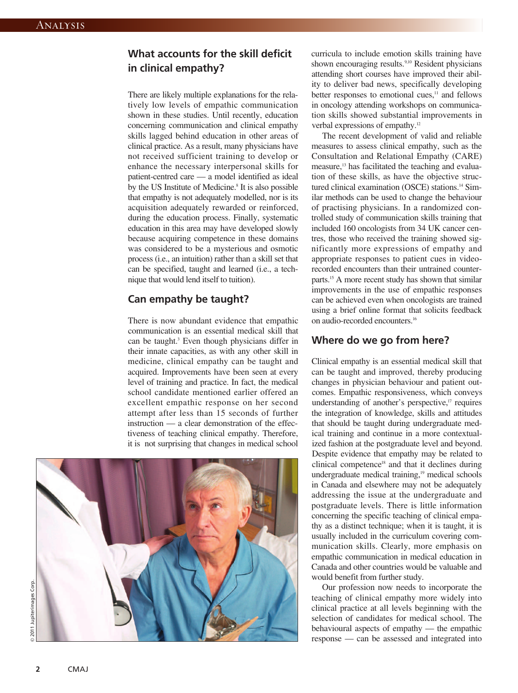# **What accounts for the skill deficit in clinical empathy?**

There are likely multiple explanations for the relatively low levels of empathic communication shown in these studies. Until recently, education concerning communication and clinical empathy skills lagged behind education in other areas of clinical practice. As a result, many physicians have not received sufficient training to develop or enhance the necessary interpersonal skills for patient-centred care — a model identified as ideal by the US Institute of Medicine. <sup>8</sup> It is also possible that empathy is not adequately modelled, nor is its acquisition adequately rewarded or reinforced, during the education process. Finally, systematic education in this area may have developed slowly because acquiring competence in these domains was considered to be a mysterious and osmotic process (i.e., an intuition) rather than a skill set that can be specified, taught and learned (i.e., a technique that would lend itself to tuition).

# **Can empathy be taught?**

There is now abundant evidence that empathic communication is an essential medical skill that can be taught. <sup>3</sup> Even though physicians differ in their innate capacities, as with any other skill in medicine, clinical empathy can be taught and acquired. Improvements have been seen at every level of training and practice. In fact, the medical school candidate mentioned earlier offered an excellent empathic response on her second attempt after less than 15 seconds of further instruction — a clear demonstration of the effectiveness of teaching clinical empathy. Therefore, it is not surprising that changes in medical school



curricula to include emotion skills training have shown encouraging results.<sup>9,10</sup> Resident physicians attending short courses have improved their ability to deliver bad news, specifically developing better responses to emotional cues,<sup>11</sup> and fellows in oncology attending workshops on communication skills showed substantial improvements in verbal expressions of empathy.<sup>12</sup>

The recent development of valid and reliable measures to assess clinical empathy, such as the Consultation and Relational Empathy (CARE) measure, <sup>13</sup> has facilitated the teaching and evaluation of these skills, as have the objective structured clinical examination (OSCE) stations. <sup>14</sup> Similar methods can be used to change the behaviour of practising physicians. In a randomized controlled study of communication skills training that included 160 oncologists from 34 UK cancer centres, those who received the training showed significantly more expressions of empathy and appropriate responses to patient cues in videorecorded encounters than their untrained counterparts. <sup>15</sup> A more recent study has shown that similar improvements in the use of empathic responses can be achieved even when oncologists are trained using a brief online format that solicits feedback on audio-recorded encounters. 16

# **Where do we go from here?**

Clinical empathy is an essential medical skill that can be taught and improved, thereby producing changes in physician behaviour and patient outcomes. Empathic responsiveness, which conveys understanding of another's perspective, <sup>17</sup> requires the integration of knowledge, skills and attitudes that should be taught during undergraduate medical training and continue in a more contextualized fashion at the postgraduate level and beyond. Despite evidence that empathy may be related to clinical competence18 and that it declines during undergraduate medical training, <sup>19</sup> medical schools in Canada and elsewhere may not be adequately addressing the issue at the undergraduate and postgraduate levels. There is little information concerning the specific teaching of clinical empathy as a distinct technique; when it is taught, it is usually included in the curriculum covering communication skills. Clearly, more emphasis on empathic communication in medical education in Canada and other countries would be valuable and would benefit from further study.

Our profession now needs to incorporate the teaching of clinical empathy more widely into clinical practice at all levels beginning with the selection of candidates for medical school. The behavioural aspects of empathy — the empathic response — can be assessed and integrated into